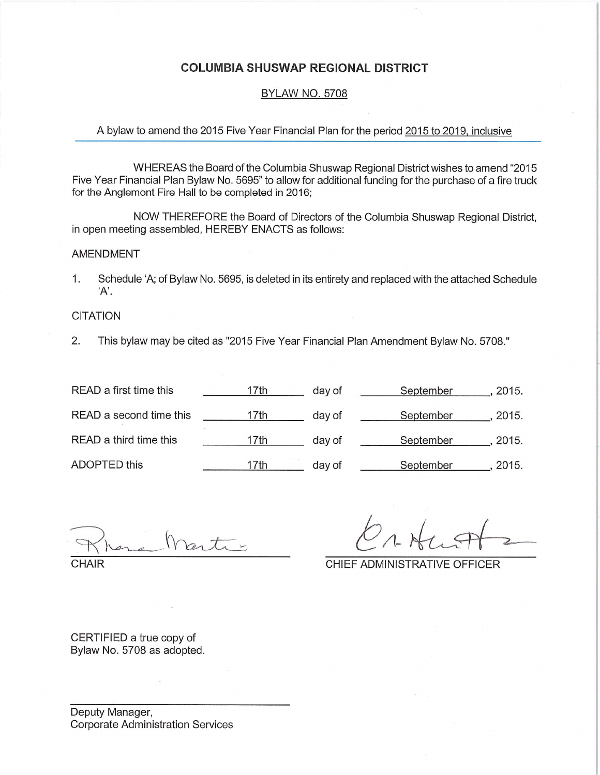#### COLUMBIA SHUSWAP REGIONAL DISTRICT

#### BYLAW NO. 5708

#### A bylaw to amend the 2015 Five Year Financial Plan for the period 2015 to 2019, inclusive

WHEREAS the Board of the Columbia Shuswap Regional District wishes to amend "2015 Five Year Financial Plan Bylaw No. 5695" to allow for additional funding for the purchase of a fire truck for the Anglemont Fire Hall to be completed in 2016;

NOW THEREFORE the Board of Directors of the Columbia Shuswap Regional District, in open meeting assembled, HEREBY ENACTS as follows:

#### AMENDMENT

1. Schedule 'A; of Bylaw No. 5695, is deleted in its entirety and replaced with the attached Schedule 'A'.

#### **CITATION**

2. This bylaw may be cited as "2015 Five Year Financial Plan Amendment Bylaw No. 5708."

| READ a first time this  | 17th | day of | September | 2015. |
|-------------------------|------|--------|-----------|-------|
| READ a second time this | 17th | day of | September | 2015. |
| READ a third time this  | 17th | day of | September | 2015. |
| ADOPTED this            | 17th | day of | September | 2015. |

 $n_{\sim}$ 

**CHAIR** 

 $\sqrt{2}$ 

CHIEF ADMINISTRATIVE OFFICER

CERTIFIED a true copy of Bylaw No. 5708 as adopted.

Deputy Manager, Corporate Administration Services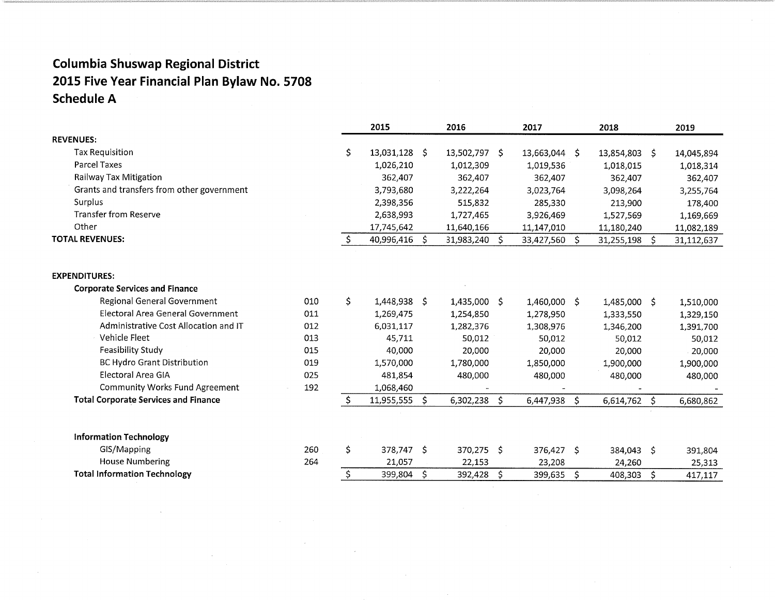|                                             |     |    | 2015          |    | 2016          |    | 2017          | 2018            |    | 2019       |
|---------------------------------------------|-----|----|---------------|----|---------------|----|---------------|-----------------|----|------------|
| <b>REVENUES:</b>                            |     |    |               |    |               |    |               |                 |    |            |
| <b>Tax Requisition</b>                      |     | \$ | 13,031,128 \$ |    | 13,502,797 \$ |    | 13,663,044 \$ | 13,854,803      | S. | 14,045,894 |
| <b>Parcel Taxes</b>                         |     |    | 1,026,210     |    | 1,012,309     |    | 1,019,536     | 1,018,015       |    | 1,018,314  |
| Railway Tax Mitigation                      |     |    | 362,407       |    | 362,407       |    | 362,407       | 362,407         |    | 362,407    |
| Grants and transfers from other government  |     |    | 3,793,680     |    | 3,222,264     |    | 3,023,764     | 3,098,264       |    | 3,255,764  |
| Surplus                                     |     |    | 2,398,356     |    | 515,832       |    | 285,330       | 213,900         |    | 178,400    |
| <b>Transfer from Reserve</b>                |     |    | 2,638,993     |    | 1,727,465     |    | 3,926,469     | 1,527,569       |    | 1,169,669  |
| Other                                       |     |    | 17,745,642    |    | 11,640,166    |    | 11,147,010    | 11,180,240      |    | 11,082,189 |
| <b>TOTAL REVENUES:</b>                      |     | Ŝ. | 40,996,416    | -S | 31,983,240    | Š. | 33,427,560 \$ | 31,255,198      | S  | 31,112,637 |
|                                             |     |    |               |    |               |    |               |                 |    |            |
| <b>EXPENDITURES:</b>                        |     |    |               |    |               |    |               |                 |    |            |
| <b>Corporate Services and Finance</b>       |     |    |               |    |               |    |               |                 |    |            |
| Regional General Government                 | 010 | \$ | 1,448,938 \$  |    | 1,435,000 \$  |    | 1,460,000 \$  | 1,485,000 \$    |    | 1,510,000  |
| Electoral Area General Government           | 011 |    | 1,269,475     |    | 1,254,850     |    | 1,278,950     | 1,333,550       |    | 1,329,150  |
| Administrative Cost Allocation and IT       | 012 |    | 6,031,117     |    | 1,282,376     |    | 1,308,976     | 1,346,200       |    | 1,391,700  |
| Vehicle Fleet                               | 013 |    | 45,711        |    | 50,012        |    | 50,012        | 50,012          |    | 50,012     |
| Feasibility Study                           | 015 |    | 40,000        |    | 20,000        |    | 20,000        | 20,000          |    | 20,000     |
| <b>BC Hydro Grant Distribution</b>          | 019 |    | 1,570,000     |    | 1,780,000     |    | 1,850,000     | 1,900,000       |    | 1,900,000  |
| <b>Electoral Area GIA</b>                   | 025 |    | 481,854       |    | 480,000       |    | 480,000       | 480,000         |    | 480,000    |
| <b>Community Works Fund Agreement</b>       | 192 |    | 1,068,460     |    |               |    |               |                 |    |            |
| <b>Total Corporate Services and Finance</b> |     | \$ | 11,955,555    | Ŝ. | 6,302,238     | \$ | 6,447,938     | \$<br>6,614,762 | \$ | 6,680,862  |
|                                             |     |    |               |    |               |    |               |                 |    |            |
| <b>Information Technology</b>               |     |    |               |    |               |    |               |                 |    |            |
| GIS/Mapping                                 | 260 | \$ | 378,747 \$    |    | $370,275$ \$  |    | 376,427 \$    | 384,043 \$      |    | 391,804    |
| <b>House Numbering</b>                      | 264 |    | 21,057        |    | 22,153        |    | 23,208        | 24,260          |    | 25,313     |
| <b>Total Information Technology</b>         |     | \$ | 399,804 \$    |    | 392,428       | \$ | 399,635 \$    | 408,303         | \$ | 417,117    |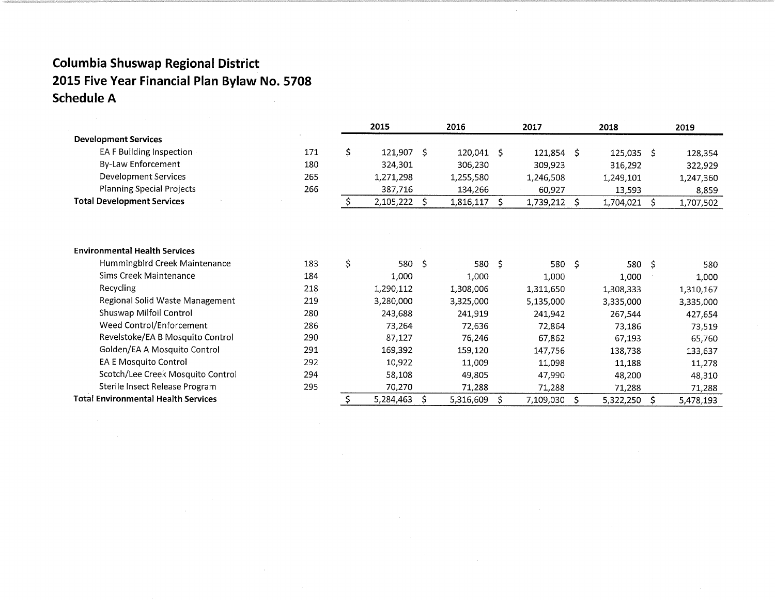|                                            |     | 2015             |    | 2016               |    | 2017      |    | 2018       |    | 2019      |
|--------------------------------------------|-----|------------------|----|--------------------|----|-----------|----|------------|----|-----------|
| <b>Development Services</b>                |     |                  |    |                    |    |           |    |            |    |           |
| EA F Building Inspection                   | 171 | \$<br>121,907 \$ |    | $120,041 \quad$ \$ |    | 121,854   | S  | 125,035 \$ |    | 128,354   |
| By-Law Enforcement                         | 180 | 324,301          |    | 306,230            |    | 309,923   |    | 316,292    |    | 322,929   |
| Development Services                       | 265 | 1,271,298        |    | 1,255,580          |    | 1,246,508 |    | 1,249,101  |    | 1,247,360 |
| <b>Planning Special Projects</b>           | 266 | 387,716          |    | 134,266            |    | 60,927    |    | 13,593     |    | 8,859     |
| <b>Total Development Services</b>          |     | \$<br>2,105,222  | Ś. | 1,816,117          | -S | 1,739,212 | S. | 1,704,021  | S  | 1,707,502 |
|                                            |     |                  |    |                    |    |           |    |            |    |           |
|                                            |     |                  |    |                    |    |           |    |            |    |           |
| <b>Environmental Health Services</b>       |     |                  |    |                    |    |           |    |            |    |           |
| Hummingbird Creek Maintenance              | 183 | \$<br>580 \$     |    | 580 \$             |    | 580 \$    |    | 580 \$     |    | 580       |
| Sims Creek Maintenance                     | 184 | 1,000            |    | 1,000              |    | 1,000     |    | 1,000      |    | 1,000     |
| Recycling                                  | 218 | 1,290,112        |    | 1,308,006          |    | 1,311,650 |    | 1,308,333  |    | 1,310,167 |
| Regional Solid Waste Management            | 219 | 3,280,000        |    | 3,325,000          |    | 5,135,000 |    | 3,335,000  |    | 3,335,000 |
| Shuswap Milfoil Control                    | 280 | 243,688          |    | 241,919            |    | 241,942   |    | 267,544    |    | 427,654   |
| Weed Control/Enforcement                   | 286 | 73,264           |    | 72,636             |    | 72,864    |    | 73,186     |    | 73,519    |
| Revelstoke/EA B Mosquito Control           | 290 | 87,127           |    | 76,246             |    | 67,862    |    | 67,193     |    | 65,760    |
| Golden/EA A Mosquito Control               | 291 | 169,392          |    | 159,120            |    | 147,756   |    | 138,738    |    | 133,637   |
| EA E Mosquito Control                      | 292 | 10,922           |    | 11,009             |    | 11,098    |    | 11,188     |    | 11,278    |
| Scotch/Lee Creek Mosquito Control          | 294 | 58,108           |    | 49,805             |    | 47,990    |    | 48,200     |    | 48,310    |
| Sterile Insect Release Program             | 295 | 70,270           |    | 71,288             |    | 71,288    |    | 71,288     |    | 71,288    |
| <b>Total Environmental Health Services</b> |     | 5,284,463        |    | 5,316,609          | Ŝ. | 7,109,030 | \$ | 5,322,250  | Ś. | 5,478,193 |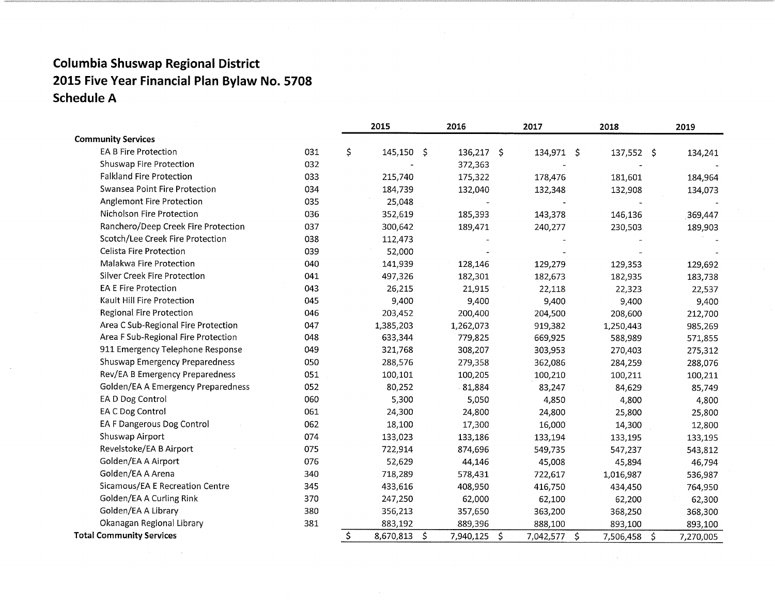|                                     |     | 2015               | 2016         |              | 2017         | 2018       |                     | 2019      |
|-------------------------------------|-----|--------------------|--------------|--------------|--------------|------------|---------------------|-----------|
| <b>Community Services</b>           |     |                    |              |              |              |            |                     |           |
| <b>EA B Fire Protection</b>         | 031 | \$<br>$145,150$ \$ | $136,217$ \$ |              | 134,971 \$   | 137,552 \$ |                     | 134,241   |
| Shuswap Fire Protection             | 032 |                    | 372,363      |              |              |            |                     |           |
| <b>Falkland Fire Protection</b>     | 033 | 215,740            | 175,322      |              | 178,476      | 181,601    |                     | 184,964   |
| Swansea Point Fire Protection       | 034 | 184,739            | 132,040      |              | 132,348      | 132,908    |                     | 134,073   |
| Anglemont Fire Protection           | 035 | 25,048             |              |              |              |            |                     |           |
| Nicholson Fire Protection           | 036 | 352,619            | 185,393      |              | 143,378      | 146,136    |                     | 369,447   |
| Ranchero/Deep Creek Fire Protection | 037 | 300,642            | 189,471      |              | 240,277      | 230,503    |                     | 189,903   |
| Scotch/Lee Creek Fire Protection    | 038 | 112,473            |              |              |              |            |                     |           |
| Celista Fire Protection             | 039 | 52,000             |              |              |              |            |                     |           |
| Malakwa Fire Protection             | 040 | 141,939            | 128,146      |              | 129,279      | 129,353    |                     | 129,692   |
| Silver Creek Fire Protection        | 041 | 497,326            | 182,301      |              | 182,673      | 182,935    |                     | 183,738   |
| <b>EA E Fire Protection</b>         | 043 | 26,215             | 21,915       |              | 22,118       | 22,323     |                     | 22,537    |
| Kault Hill Fire Protection          | 045 | 9,400              | 9,400        |              | 9,400        | 9,400      |                     | 9,400     |
| Regional Fire Protection            | 046 | 203,452            | 200,400      |              | 204,500      | 208,600    |                     | 212,700   |
| Area C Sub-Regional Fire Protection | 047 | 1,385,203          | 1,262,073    |              | 919,382      | 1,250,443  |                     | 985,269   |
| Area F Sub-Regional Fire Protection | 048 | 633,344            | 779,825      |              | 669,925      | 588,989    |                     | 571,855   |
| 911 Emergency Telephone Response    | 049 | 321,768            | 308,207      |              | 303,953      | 270,403    |                     | 275,312   |
| Shuswap Emergency Preparedness      | 050 | 288,576            | 279,358      |              | 362,086      | 284,259    |                     | 288,076   |
| Rev/EA B Emergency Preparedness     | 051 | 100,101            | 100,205      |              | 100,210      | 100,211    |                     | 100,211   |
| Golden/EA A Emergency Preparedness  | 052 | 80,252             | 81,884       |              | 83,247       | 84,629     |                     | 85,749    |
| EA D Dog Control                    | 060 | 5,300              | 5,050        |              | 4,850        | 4,800      |                     | 4,800     |
| EA C Dog Control                    | 061 | 24,300             | 24,800       |              | 24,800       | 25,800     |                     | 25,800    |
| EA F Dangerous Dog Control          | 062 | 18,100             | 17,300       |              | 16,000       | 14,300     |                     | 12,800    |
| Shuswap Airport                     | 074 | 133,023            | 133,186      |              | 133,194      | 133,195    |                     | 133,195   |
| Revelstoke/EA B Airport             | 075 | 722,914            | 874,696      |              | 549,735      | 547,237    |                     | 543,812   |
| Golden/EA A Airport                 | 076 | 52,629             | 44,146       |              | 45,008       | 45,894     |                     | 46,794    |
| Golden/EA A Arena                   | 340 | 718,289            | 578,431      |              | 722,617      | 1,016,987  |                     | 536,987   |
| Sicamous/EA E Recreation Centre     | 345 | 433,616            | 408,950      |              | 416,750      | 434,450    |                     | 764,950   |
| Golden/EA A Curling Rink            | 370 | 247,250            | 62,000       |              | 62,100       | 62,200     |                     | 62,300    |
| Golden/EA A Library                 | 380 | 356,213            | 357,650      |              | 363,200      | 368,250    |                     | 368,300   |
| Okanagan Regional Library           | 381 | 883,192            | 889,396      |              | 888,100      | 893,100    |                     | 893,100   |
| <b>Total Community Services</b>     |     | \$<br>8,670,813 \$ | 7,940,125    | $\mathsf{S}$ | 7,042,577 \$ | 7,506,458  | $\ddot{\mathsf{S}}$ | 7,270,005 |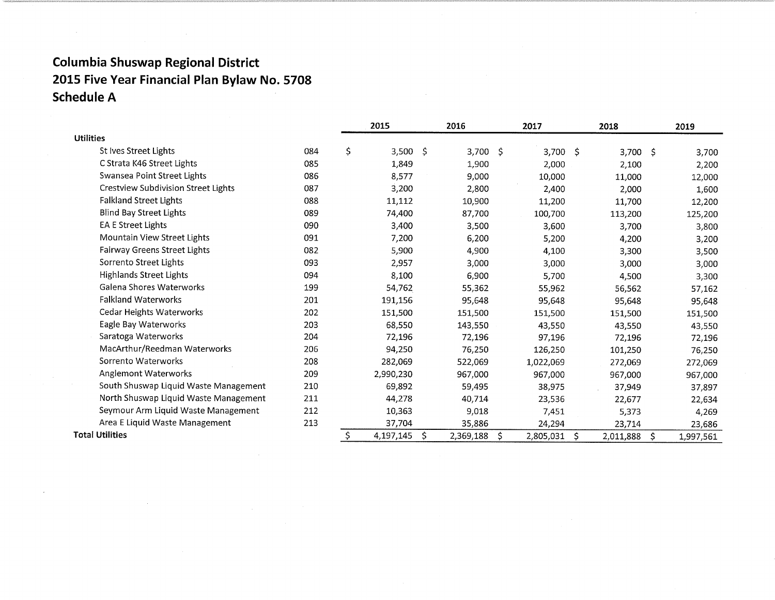|                                       |     |    | 2015       |    | 2016      |    | 2017       |     | 2018      |     | 2019      |
|---------------------------------------|-----|----|------------|----|-----------|----|------------|-----|-----------|-----|-----------|
| <b>Utilities</b>                      |     |    |            |    |           |    |            |     |           |     |           |
| St Ives Street Lights                 | 084 | \$ | $3,500$ \$ |    | 3,700     | -S | $3,700$ \$ |     | 3,700 S   |     | 3,700     |
| C Strata K46 Street Lights            | 085 |    | 1,849      |    | 1,900     |    | 2,000      |     | 2,100     |     | 2,200     |
| Swansea Point Street Lights           | 086 |    | 8,577      |    | 9,000     |    | 10,000     |     | 11,000    |     | 12,000    |
| Crestview Subdivision Street Lights   | 087 |    | 3,200      |    | 2,800     |    | 2,400      |     | 2,000     |     | 1,600     |
| <b>Falkland Street Lights</b>         | 088 |    | 11,112     |    | 10,900    |    | 11,200     |     | 11,700    |     | 12,200    |
| <b>Blind Bay Street Lights</b>        | 089 |    | 74,400     |    | 87,700    |    | 100,700    |     | 113,200   |     | 125,200   |
| <b>EA E Street Lights</b>             | 090 |    | 3,400      |    | 3,500     |    | 3,600      |     | 3,700     |     | 3,800     |
| Mountain View Street Lights           | 091 |    | 7,200      |    | 6,200     |    | 5,200      |     | 4,200     |     | 3,200     |
| <b>Fairway Greens Street Lights</b>   | 082 |    | 5,900      |    | 4,900     |    | 4,100      |     | 3,300     |     | 3,500     |
| Sorrento Street Lights                | 093 |    | 2,957      |    | 3,000     |    | 3,000      |     | 3,000     |     | 3,000     |
| <b>Highlands Street Lights</b>        | 094 |    | 8,100      |    | 6,900     |    | 5,700      |     | 4,500     |     | 3,300     |
| Galena Shores Waterworks              | 199 |    | 54,762     |    | 55,362    |    | 55,962     |     | 56,562    |     | 57,162    |
| <b>Falkland Waterworks</b>            | 201 |    | 191,156    |    | 95,648    |    | 95,648     |     | 95,648    |     | 95,648    |
| Cedar Heights Waterworks              | 202 |    | 151,500    |    | 151,500   |    | 151,500    |     | 151,500   |     | 151,500   |
| Eagle Bay Waterworks                  | 203 |    | 68,550     |    | 143,550   |    | 43,550     |     | 43,550    |     | 43,550    |
| Saratoga Waterworks                   | 204 |    | 72,196     |    | 72,196    |    | 97,196     |     | 72,196    |     | 72,196    |
| MacArthur/Reedman Waterworks          | 206 |    | 94,250     |    | 76,250    |    | 126,250    |     | 101,250   |     | 76,250    |
| Sorrento Waterworks                   | 208 |    | 282,069    |    | 522,069   |    | 1,022,069  |     | 272,069   |     | 272,069   |
| Anglemont Waterworks                  | 209 |    | 2,990,230  |    | 967,000   |    | 967,000    |     | 967,000   |     | 967,000   |
| South Shuswap Liquid Waste Management | 210 |    | 69,892     |    | 59,495    |    | 38,975     |     | 37,949    |     | 37,897    |
| North Shuswap Liquid Waste Management | 211 |    | 44,278     |    | 40,714    |    | 23,536     |     | 22,677    |     | 22,634    |
| Seymour Arm Liquid Waste Management   | 212 |    | 10,363     |    | 9,018     |    | 7,451      |     | 5,373     |     | 4,269     |
| Area E Liquid Waste Management        | 213 |    | 37,704     |    | 35,886    |    | 24,294     |     | 23,714    |     | 23,686    |
| <b>Total Utilities</b>                |     | S  | 4,197,145  | Ŝ. | 2,369,188 | Ŝ. | 2,805,031  | \$. | 2,011,888 | \$. | 1,997,561 |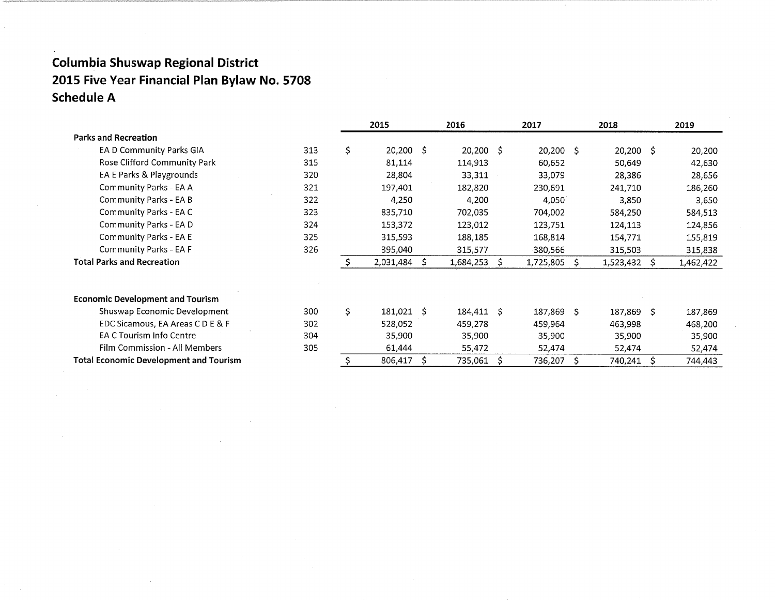|                                               |     | 2015             |      | 2016        |    | 2017        |    | 2018           | 2019      |
|-----------------------------------------------|-----|------------------|------|-------------|----|-------------|----|----------------|-----------|
| <b>Parks and Recreation</b>                   |     |                  |      |             |    |             |    |                |           |
| EA D Community Parks GIA                      | 313 | \$<br>20,200 \$  |      | $20,200$ \$ |    | $20,200$ \$ |    | 20,200 \$      | 20,200    |
| Rose Clifford Community Park                  | 315 | 81,114           |      | 114,913     |    | 60,652      |    | 50,649         | 42,630    |
| EA E Parks & Playgrounds                      | 320 | 28,804           |      | 33,311      |    | 33,079      |    | 28,386         | 28,656    |
| Community Parks - EA A                        | 321 | 197,401          |      | 182,820     |    | 230,691     |    | 241,710        | 186,260   |
| Community Parks - EA B                        | 322 | 4,250            |      | 4,200       |    | 4,050       |    | 3,850          | 3,650     |
| Community Parks - EA C                        | 323 | 835,710          |      | 702,035     |    | 704,002     |    | 584,250        | 584,513   |
| Community Parks - EA D                        | 324 | 153,372          |      | 123,012     |    | 123,751     |    | 124,113        | 124,856   |
| Community Parks - EA E                        | 325 | 315,593          |      | 188,185     |    | 168,814     |    | 154,771        | 155,819   |
| Community Parks - EA F                        | 326 | 395,040          |      | 315,577     |    | 380,566     |    | 315,503        | 315,838   |
| <b>Total Parks and Recreation</b>             |     | 2,031,484        | S.   | 1,684,253   | Ŝ. | 1,725,805   | Š. | $1,523,432$ \$ | 1,462,422 |
| <b>Economic Development and Tourism</b>       |     |                  |      |             |    |             |    |                |           |
| Shuswap Economic Development                  | 300 | \$<br>181,021 \$ |      | 184,411 \$  |    | 187,869 \$  |    | 187,869 \$     | 187,869   |
| EDC Sicamous, EA Areas C D E & F              | 302 | 528,052          |      | 459,278     |    | 459,964     |    | 463,998        | 468,200   |
| EA C Tourism Info Centre                      | 304 | 35,900           |      | 35,900      |    | 35,900      |    | 35,900         | 35,900    |
| Film Commission - All Members                 | 305 | 61,444           |      | 55,472      |    | 52,474      |    | 52,474         | 52,474    |
| <b>Total Economic Development and Tourism</b> |     | 806,417          | - \$ | 735,061     | Ŝ. | 736,207     | S  | 740,241        | 744,443   |